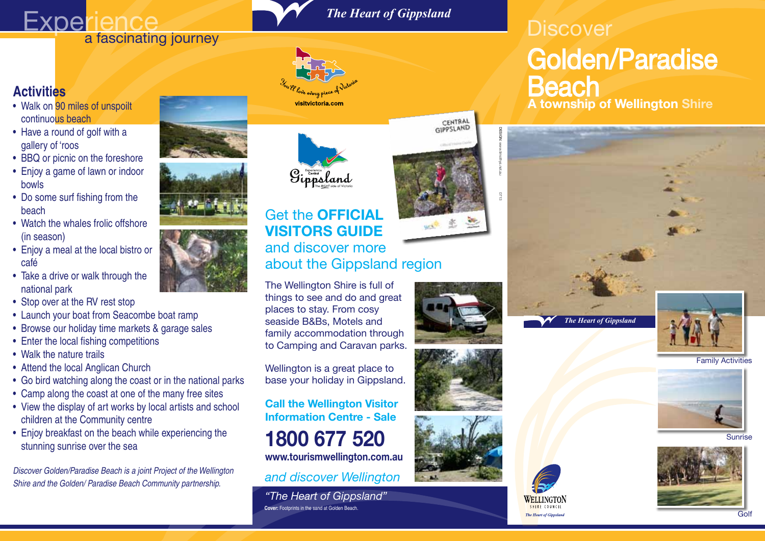# **Experience**<br>**a fascinating journey**

### *The Heart of Gippsland*



- Walk on 90 miles of unspoilt continuous beach
- Have a round of golf with a gallery of 'roos
- BBQ or picnic on the foreshore
- Enjoy a game of lawn or indoor bowls
- Do some surf fishing from the beach
- Watch the whales frolic offshore (in season)
- Enjoy a meal at the local bistro or café
- Take a drive or walk through the national park
- Stop over at the RV rest stop
- Launch your boat from Seacombe boat ramp
- Browse our holiday time markets & garage sales
- Enter the local fishing competitions
- Walk the nature trails
- Attend the local Anglican Church
- Go bird watching along the coast or in the national parks
- Camp along the coast at one of the many free sites
- View the display of art works by local artists and school children at the Community centre
- Enjoy breakfast on the beach while experiencing the stunning sunrise over the sea

*Discover Golden/Paradise Beach is a joint Project of the Wellington Shire and the Golden/ Paradise Beach Community partnership.*















visitvictoria.com

### **VISITORS GUIDE** and discover more about the Gippsland region

The Wellington Shire is full of things to see and do and great places to stay. From cosy seaside B&Bs, Motels and family accommodation through to Camping and Caravan parks.

Wellington is a great place to base your holiday in Gippsland.

**Call the Wellington Visitor Information Centre - Sale 1800 677 520 www.tourismwellington.com.au**

*and discover Wellington*

**Cover:** Footprints in the sand at Golden Beach. *"The Heart of Gippsland"*









DESIGN:

www.timothys.net.au



### **A township of Wellington Shire Discover** Golden/Paradise **Beach**



Family Activities



Sunrise